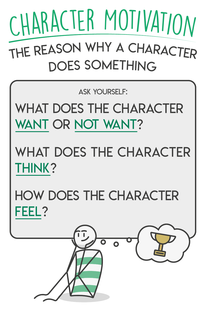# <sup>t</sup>h<sup>e</sup> <sup>r</sup>easo<sup>n</sup> <sup>w</sup>h<sup>y</sup> <sup>a</sup> <sup>c</sup>haracte<sup>r</sup> DOES SOMETHING CHARACTER MOTIVATION

Ask yourself:

## WHAT DOES THE CHARACTER

### WANT OR NOT WANT?

## WHAT DOES THE CHARACTER THINK?

## How does the character FEEL?

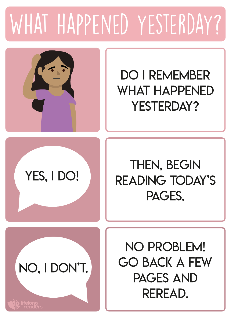### WHAT HAPPENED YESTERDAY?



#### DO I REMEMBER WHAT HAPPENED YESTERDAY?

YES, I DO!

#### **THEN, BEGIN** reading today's PAGES.



No problem! Go back a few pages and reread.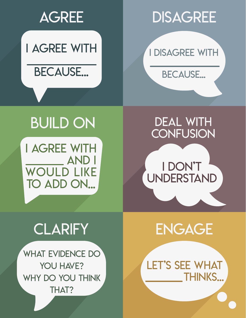#### **AGREE**

#### I agree with  $\frac{1}{2}$  , where  $\frac{1}{2}$

BECAUSE...

#### **DISAGREE**

I disagree with

BECAUSE...

#### build on

I agree with \_\_\_\_\_\_ and I WOULD LIKE TO ADD ON...

#### DEAL WITH **CONFUSION**

i don't **UNDERSTAND** 

#### **CLARIFY**

WHAT EVIDENCE DO YOU HAVE? WHY DO YOU THINK THAT?



LET'S SEE WHAT THINKS...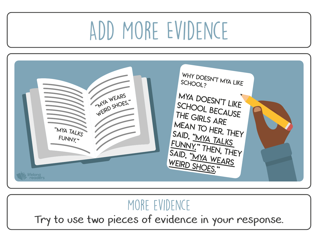### Add More Evidence



#### MORE EVIDENCE

Try to use two pieces of evidence in your response.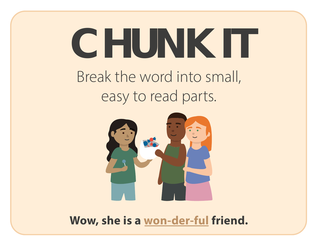### Break the word into small, easy to read parts. **CHUNK IT**



Wow, she is a won-der-ful friend.